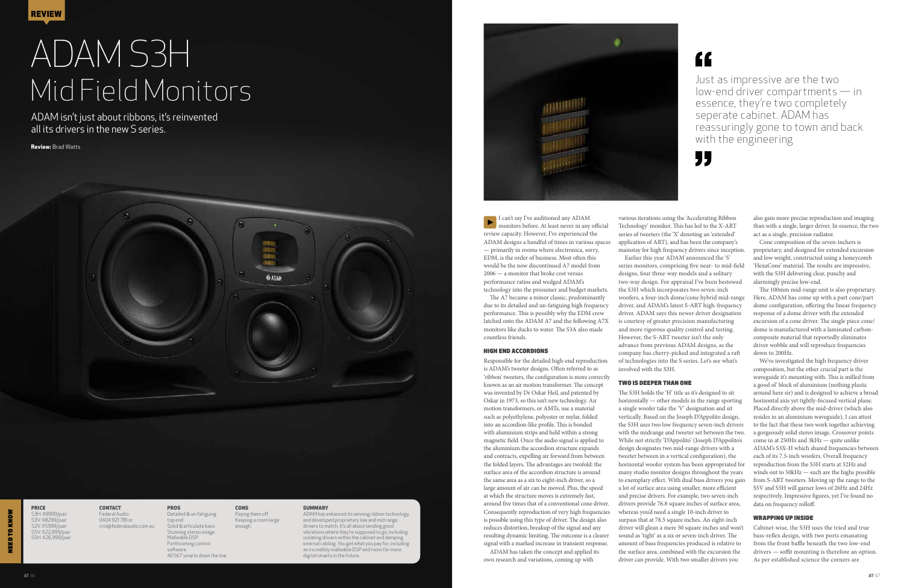NEED TO KNOW

**TO KN** 

# ADAM S3H Mid Field Monitors

ADAM isn't just about ribbons, it's reinvented all its drivers in the new S series.

**Review:** Brad Watts



I can't say I've auditioned any ADAM monitors before. At least never in any official review capacity. However, I've experienced the ADAM designs a handful of times in various spaces — primarily in rooms where electronica, sorry, EDM, is the order of business. Most often this would be the now discontinued A7 model from 2006 — a monitor that broke cost versus performance ratios and wedged ADAM's

technology into the prosumer and budget markets. The A7 became a minor classic, predominantly due to its detailed and un-fatiguing high frequency performance. This is possibly why the EDM crew latched onto the ADAM A7 and the following A7X monitors like ducks to water. The S3A also made countless friends.

### HIGH END ACCORDIONS

Responsible for the detailed high-end reproduction is ADAM's tweeter designs. Often referred to as 'ribbon' tweeters, the configuration is more correctly known as an air motion transformer. The concept was invented by Dr Oskar Heil, and patented by Oskar in 1973, so this isn't new technology. Air motion transformers, or AMTs, use a material such as polyethylene, polyester or mylar, folded into an accordion-like profile. This is bonded with aluminium strips and held within a strong magnetic field. Once the audio signal is applied to the aluminium the accordion structure expands and contracts, expelling air forward from between the folded layers. The advantages are twofold: the surface area of the accordion structure is around the same area as a six to eight-inch driver, so a large amount of air can be moved. Plus, the speed at which the structure moves is extremely fast, around five times that of a conventional cone driver. Consequently reproduction of very high frequencies is possible using this type of driver. The design also reduces distortion, breakup of the signal and any resulting dynamic limiting. The outcome is a clearer signal with a marked increase in transient response. ADAM has taken the concept and applied its

own research and variations, coming up with



# "

We've investigated the high frequency driver composition, but the other crucial part is the waveguide it's mounting with. This is milled from a good ol' block of aluminium (nothing plastic around here sir) and is designed to achieve a broad horizontal axis yet tightly-focused vertical plane. Placed directly above the mid-driver (which also resides in an aluminium waveguide), I can attest to the fact that these two work together achieving a gorgeously solid stereo image. Crossover points come in at 250Hz and 3kHz — quite unlike ADAM's S3X-H which shared frequencies between each of its 7.5-inch woofers. Overall frequency reproduction from the S3H starts at 32Hz and winds out to 50kHz — such are the highs possible from S-ART tweeters. Moving up the range to the S5V and S5H will garner lows of 26Hz and 24Hz respectively. Impressive figures, yet I've found no data on frequency rolloff.

various iterations using the 'Accelerating Ribbon Technology' moniker. This has led to the X-ART series of tweeters (the 'X' denoting an 'extended' application of ART), and has been the company's mainstay for high frequency drivers since inception. Earlier this year ADAM announced the 'S' series monitors, comprising five near- to mid-field designs, four three-way models and a solitary two-way design. For appraisal I've been bestowed the S3H which incorporates two seven-inch woofers, a four-inch dome/cone hybrid mid-range driver, and ADAM's latest S-ART high-frequency driver. ADAM says this newer driver designation is courtesy of greater precision manufacturing and more rigorous quality control and testing. However, the S-ART tweeter isn't the only advance from previous ADAM designs, as the company has cherry-picked and integrated a raft of technologies into the S series. Let's see what's involved with the S3H.

## TWO IS DEEPER THAN ONE

**CONTACT** Federal Audio: 0404 921 781 or cris@federalaudio.com.au

Paying them off Keeping a room large enough

**CONS** 

### **SUMMARY**

The S3H holds the 'H' title as it's designed to sit horizontally — other models in the range sporting a single woofer take the 'V' designation and sit vertically. Based on the Joseph D'Appolito design, the S3H uses two low frequency seven-inch drivers with the midrange and tweeter set between the two. While not strictly 'D'Appolito' (Joseph D'Appolito's design designates two mid-range drivers with a tweeter between in a vertical configuration), the horizontal woofer system has been appropriated for many studio monitor designs throughout the years to exemplary effect. With dual bass drivers you gain a lot of surface area using smaller, more efficient and precise drivers. For example, two seven-inch drivers provide 76.8 square inches of surface area, whereas you'd need a single 10-inch driver to surpass that at 78.5 square inches. An eight-inch driver will glean a mere 50 square inches and won't sound as 'tight' as a six or seven-inch driver. The amount of bass frequencies produced is relative to the surface area, combined with the excursion the driver can provide. With two smaller drivers you

also gain more precise reproduction and imaging than with a single, larger driver. In essence, the two act as a single, precision radiator.

Cone composition of the seven-inchers is proprietary, and designed for extended excursion and low weight, constructed using a honeycomb 'HexaCone' material. The results are impressive, with the S3H delivering clear, punchy and alarmingly precise low-end.

The 100mm mid-range unit is also proprietary. Here, ADAM has come up with a part cone/part dome configuration, offering the linear frequency response of a dome driver with the extended excursion of a cone driver. The single piece cone/ dome is manufactured with a laminated carboncomposite material that reportedly eliminates driver wobble and will reproduce frequencies down to 200Hz.

# WRAPPING UP INSIDE

Cabinet-wise, the S3H uses the tried and true bass-reflex design, with two ports emanating from the front baffle beneath the two low-end drivers — soffit mounting is therefore an option. As per established science the corners are

PRICE S3H: \$9999/pair S3V: \$8299/pair S2V: \$5999/pair S5V: \$22,999/pair S5H: \$26,999/pair

PROS

Detailed & un-fatiguing top end Solid & articulate bass Stunning stereo image Malleable DSP Forthcoming control software AES67 smarts down the line

*<u>GEARAM</u>* 

ADAM has enhanced its winning ribbon technology, and developed proprietary low and mid range drivers to match. It's all about sending good vibrations where they're supposed to go, including isolating drivers within the cabinet and damping internal cabling. You get what you pay for, including an incredibly malleable DSP and room for more digital smarts in the future.

Just as impressive are the two low-end driver compartments — in essence, they're two completely seperate cabinet. ADAM has reassuringly gone to town and back with the engineering

"